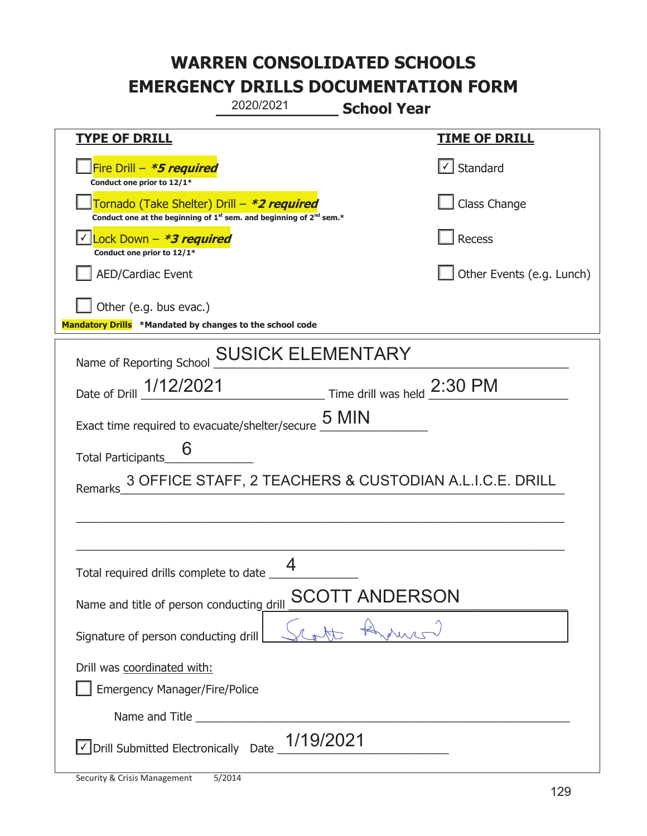| 2020/2021<br><b>School Year</b>                                                                                                           |                                                                  |                           |
|-------------------------------------------------------------------------------------------------------------------------------------------|------------------------------------------------------------------|---------------------------|
| <b>TYPE OF DRILL</b>                                                                                                                      |                                                                  | <u>TIME OF DRILL</u>      |
| Fire Drill - *5 required<br>Conduct one prior to 12/1*                                                                                    |                                                                  | √ Standard                |
| Tornado (Take Shelter) Drill – *2 required<br>Conduct one at the beginning of 1 <sup>st</sup> sem. and beginning of 2 <sup>nd</sup> sem.* |                                                                  | Class Change              |
| Lock Down - *3 required<br>Conduct one prior to 12/1*                                                                                     |                                                                  | Recess                    |
| <b>AED/Cardiac Event</b>                                                                                                                  |                                                                  | Other Events (e.g. Lunch) |
| Other (e.g. bus evac.)<br>Mandatory Drills *Mandated by changes to the school code                                                        |                                                                  |                           |
| Name of Reporting School                                                                                                                  | <b>SUSICK ELEMENTARY</b>                                         |                           |
| Date of Drill 1/12/2021                                                                                                                   | $\frac{1}{2.30}$ Fime drill was held $\frac{2:30 \text{ PM}}{4}$ |                           |
| Exact time required to evacuate/shelter/secure 5 MIN                                                                                      |                                                                  |                           |
| <b>Total Participants</b>                                                                                                                 |                                                                  |                           |
| Remarks                                                                                                                                   | 3 OFFICE STAFF, 2 TEACHERS & CUSTODIAN A.L.I.C.E. DRILL          |                           |
|                                                                                                                                           |                                                                  |                           |
| Total required drills complete to date _                                                                                                  | Δ                                                                |                           |
| Name and title of person conducting drill                                                                                                 | T ANDERSON<br><b>SCOT</b>                                        |                           |
| Signature of person conducting drill                                                                                                      |                                                                  |                           |
| Drill was coordinated with:<br><b>Emergency Manager/Fire/Police</b>                                                                       |                                                                  |                           |
|                                                                                                                                           |                                                                  |                           |
| $\angle$ Drill Submitted Electronically Date $\frac{1/19/2021}{2}$                                                                        |                                                                  |                           |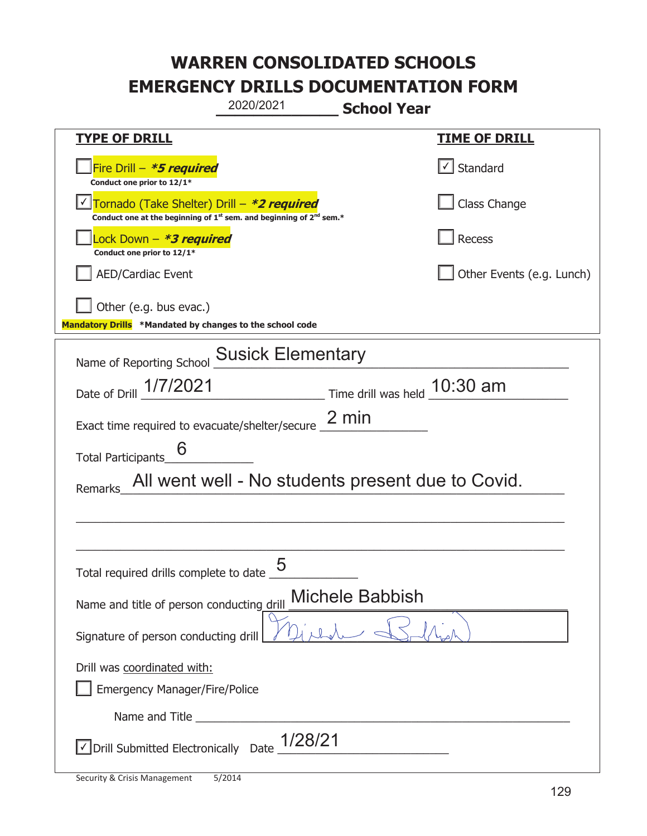|                                                                                                                                           | 2020/2021                | <b>School Year</b>                                |                           |
|-------------------------------------------------------------------------------------------------------------------------------------------|--------------------------|---------------------------------------------------|---------------------------|
| <b>TYPE OF DRILL</b>                                                                                                                      |                          |                                                   | <u>TIME OF DRILL</u>      |
| Fire Drill - *5 required<br>Conduct one prior to 12/1*                                                                                    |                          |                                                   | Standard                  |
| Tornado (Take Shelter) Drill – *2 required<br>Conduct one at the beginning of 1 <sup>st</sup> sem. and beginning of 2 <sup>nd</sup> sem.* |                          |                                                   | Class Change              |
| Lock Down – <i>*<b>3 required</b></i><br>Conduct one prior to 12/1*                                                                       |                          |                                                   | Recess                    |
| <b>AED/Cardiac Event</b>                                                                                                                  |                          |                                                   | Other Events (e.g. Lunch) |
| Other (e.g. bus evac.)<br>Mandatory Drills *Mandated by changes to the school code                                                        |                          |                                                   |                           |
| Name of Reporting School                                                                                                                  | <b>Susick Elementary</b> |                                                   |                           |
| Date of Drill 1/7/2021                                                                                                                    |                          | Time drill was held 10:30 am                      |                           |
| Exact time required to evacuate/shelter/secure 2 min                                                                                      |                          |                                                   |                           |
| 6<br><b>Total Participants</b>                                                                                                            |                          |                                                   |                           |
| Remarks                                                                                                                                   |                          | All went well - No students present due to Covid. |                           |
|                                                                                                                                           |                          |                                                   |                           |
|                                                                                                                                           |                          |                                                   |                           |
| Total required drills complete to date $\overline{\phantom{0}5}$                                                                          |                          |                                                   |                           |
| Name and title of person conducting drill                                                                                                 |                          | <b>Michele Babbish</b>                            |                           |
| Signature of person conducting drill                                                                                                      |                          |                                                   |                           |
| Drill was coordinated with:                                                                                                               |                          |                                                   |                           |
| <b>Emergency Manager/Fire/Police</b>                                                                                                      |                          |                                                   |                           |
|                                                                                                                                           |                          |                                                   |                           |
| √ Drill Submitted Electronically Date                                                                                                     | 1/28/21                  |                                                   |                           |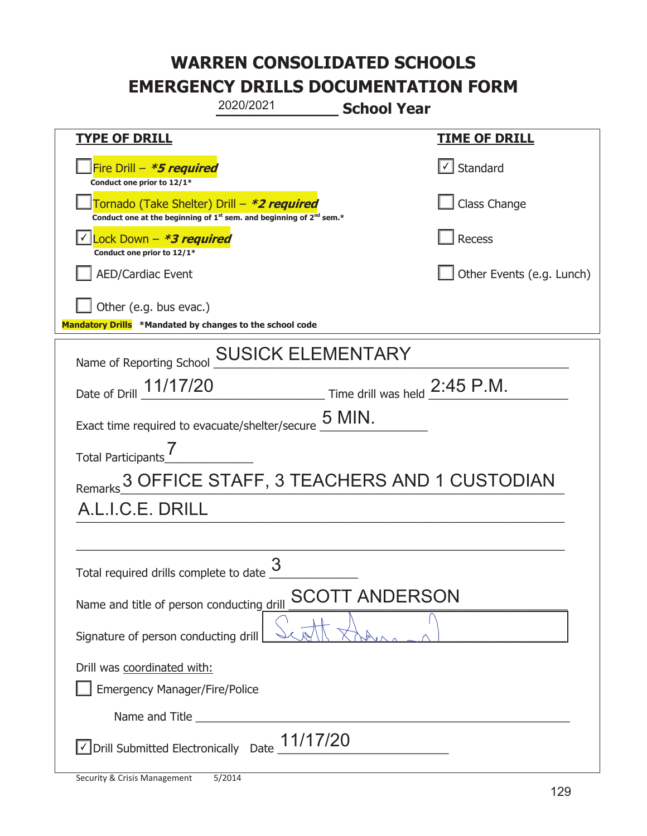|                                                                                             | 2020/2021                                                                     | <b>School Year</b>                                              |                                   |
|---------------------------------------------------------------------------------------------|-------------------------------------------------------------------------------|-----------------------------------------------------------------|-----------------------------------|
| <b>TYPE OF DRILL</b>                                                                        |                                                                               |                                                                 | <u>TIME OF DRILL</u>              |
| Fire Drill - *5 required<br>Conduct one prior to 12/1*                                      |                                                                               |                                                                 | $\lfloor \angle \rfloor$ Standard |
| Tornado (Take Shelter) Drill – *2 required                                                  | Conduct one at the beginning of $1^{st}$ sem. and beginning of $2^{nd}$ sem.* |                                                                 | Class Change                      |
| Lock Down - *3 required<br>Conduct one prior to 12/1*                                       |                                                                               |                                                                 | Recess                            |
| <b>AED/Cardiac Event</b>                                                                    |                                                                               |                                                                 | Other Events (e.g. Lunch)         |
| Other (e.g. bus evac.)<br>Mandatory Drills *Mandated by changes to the school code          |                                                                               |                                                                 |                                   |
| Name of Reporting School                                                                    | <b>SUSICK ELEMENTARY</b>                                                      |                                                                 |                                   |
| Date of Drill 11/17/20                                                                      |                                                                               | $\frac{1}{2}$ Time drill was held $\frac{2:45 \text{ P.M.}}{1}$ |                                   |
| Exact time required to evacuate/shelter/secure $\underline{\mathsf{5}}$ MIN.                |                                                                               |                                                                 |                                   |
| <b>Total Participants</b>                                                                   |                                                                               |                                                                 |                                   |
| Remarks 3 OFFICE STAFF, 3 TEACHERS AND 1 CUSTODIAN                                          |                                                                               |                                                                 |                                   |
| A.L.I.C.E. DRILL                                                                            |                                                                               |                                                                 |                                   |
|                                                                                             |                                                                               |                                                                 |                                   |
| Total required drills complete to date <u>U</u>                                             | 3                                                                             |                                                                 |                                   |
| Name and title of person conducting drill                                                   |                                                                               | <b>SCOTT ANDERSON</b>                                           |                                   |
| Signature of person conducting drill                                                        |                                                                               |                                                                 |                                   |
| Drill was coordinated with:<br><b>Emergency Manager/Fire/Police</b>                         |                                                                               |                                                                 |                                   |
|                                                                                             |                                                                               |                                                                 |                                   |
| $\sqrt{\phantom{a}}$ Drill Submitted Electronically Date $\underline{\phantom{a}}$ 11/17/20 |                                                                               |                                                                 |                                   |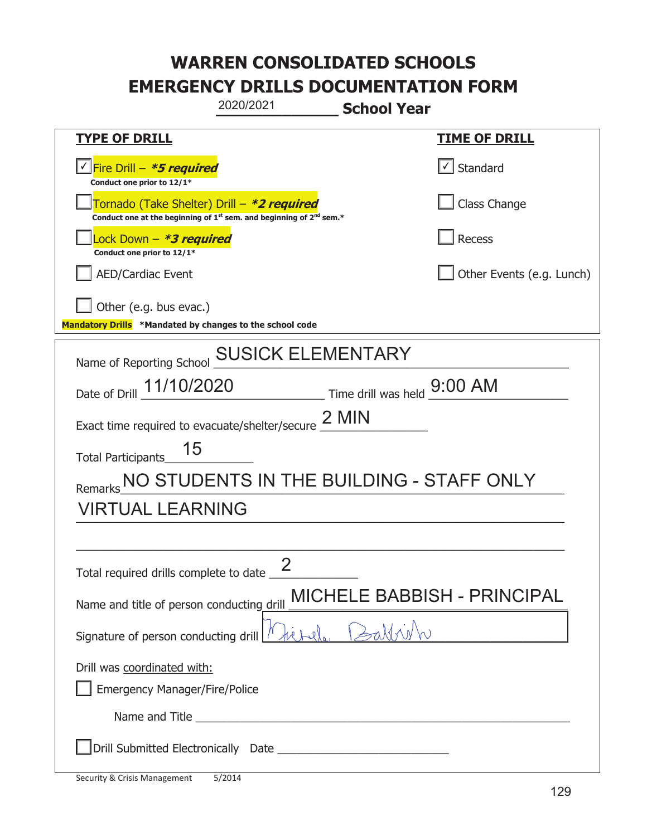|                                                                                    | 2020/2021                                                                                                                                 | <b>School Year</b>                    |                                    |
|------------------------------------------------------------------------------------|-------------------------------------------------------------------------------------------------------------------------------------------|---------------------------------------|------------------------------------|
| <b>TYPE OF DRILL</b>                                                               |                                                                                                                                           |                                       | <b>TIME OF DRILL</b>               |
| <u>√ Fire Drill – <b>*5 required</b></u><br>Conduct one prior to 12/1*             |                                                                                                                                           |                                       | $\lfloor \angle \rfloor$ Standard  |
|                                                                                    | Tornado (Take Shelter) Drill – *2 required<br>Conduct one at the beginning of 1 <sup>st</sup> sem. and beginning of 2 <sup>nd</sup> sem.* |                                       | Class Change                       |
| Lock Down - *3 required<br>Conduct one prior to 12/1*                              |                                                                                                                                           |                                       | Recess                             |
| <b>AED/Cardiac Event</b>                                                           |                                                                                                                                           |                                       | Other Events (e.g. Lunch)          |
| Other (e.g. bus evac.)<br>Mandatory Drills *Mandated by changes to the school code |                                                                                                                                           |                                       |                                    |
| Name of Reporting School                                                           | <b>SUSICK ELEMENTARY</b>                                                                                                                  |                                       |                                    |
| 11/10/2020<br>Date of Drill                                                        |                                                                                                                                           | $\_$ Time drill was held $\_$ 9:00 AM |                                    |
| Exact time required to evacuate/shelter/secure $2$ MIN                             |                                                                                                                                           |                                       |                                    |
| 15<br><b>Total Participants</b>                                                    |                                                                                                                                           |                                       |                                    |
| Remarks                                                                            | NO STUDENTS IN THE BUILDING - STAFF ONLY                                                                                                  |                                       |                                    |
| <b>VIRTUAL LEARNING</b>                                                            |                                                                                                                                           |                                       |                                    |
|                                                                                    |                                                                                                                                           |                                       |                                    |
| Total required drills complete to date $\frac{\epsilon}{\epsilon}$                 | ク                                                                                                                                         |                                       |                                    |
| Name and title of person conducting drill                                          |                                                                                                                                           |                                       | <b>MICHELE BABBISH - PRINCIPAL</b> |
| Signature of person conducting drill $\frac{1}{1}$                                 |                                                                                                                                           |                                       |                                    |
| Drill was coordinated with:<br><b>Emergency Manager/Fire/Police</b>                |                                                                                                                                           |                                       |                                    |
|                                                                                    |                                                                                                                                           |                                       |                                    |
|                                                                                    |                                                                                                                                           |                                       |                                    |

T